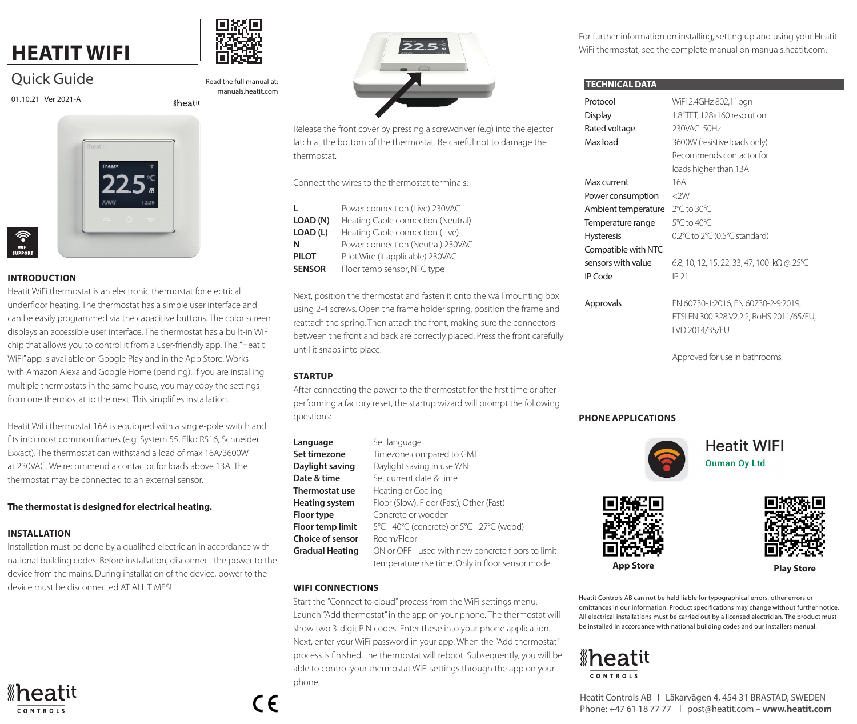# **HEATIT WIFI**

# Quick Guide

01.10.21 Ver 2021-A



## **INTRODUCTION**

Heatit WiFi thermostat is an electronic thermostat for electrical underfloor heating. The thermostat has a simple user interface and can be easily programmed via the capacitive buttons. The color screen displays an accessible user interface. The thermostat has a built-in WiFi chip that allows you to control it from a user-friendly app. The "Heatit WiFi" app is available on Google Play and in the App Store. Works with Amazon Alexa and Google Home (pending). If you are installing multiple thermostats in the same house, you may copy the settings from one thermostat to the next. This simplifies installation.

Heatit WiFi thermostat 16A is equipped with a single-pole switch and fits into most common frames (e.g. System 55, Elko RS16, Schneider Exxact). The thermostat can withstand a load of max 16A/3600W at 230VAC. We recommend a contactor for loads above 13A. The thermostat may be connected to an external sensor.

### **The thermostat is designed for electrical heating.**

### **INSTALLATION**

Installation must be done by a qualified electrician in accordance with national building codes. Before installation, disconnect the power to the device from the mains. During installation of the device, power to the device must be disconnected AT ALL TIMES!





Read the full manual at: manuals.heatit.com

**Iheatit** 



Release the front cover by pressing a screwdriver (e.g) into the ejector latch at the bottom of the thermostat. Be careful not to damage the thermostat.

Connect the wires to the thermostat terminals:

| L             | Power connection (Live) 230VAC     |  |
|---------------|------------------------------------|--|
| LOAD (N)      | Heating Cable connection (Neutral) |  |
| LOAD (L)      | Heating Cable connection (Live)    |  |
| Ν             | Power connection (Neutral) 230VAC  |  |
| PILOT         | Pilot Wire (if applicable) 230VAC  |  |
| <b>SENSOR</b> | Floor temp sensor, NTC type        |  |

Next, position the thermostat and fasten it onto the wall mounting box using 2-4 screws. Open the frame holder spring, position the frame and reattach the spring. Then attach the front, making sure the connectors between the front and back are correctly placed. Press the front carefully until it snaps into place.

## **STARTUP**

After connecting the power to the thermostat for the first time or after performing a factory reset, the startup wizard will prompt the following questions:

| Language                | Set language                                       |
|-------------------------|----------------------------------------------------|
| Set timezone            | Timezone compared to GMT                           |
| Daylight saving         | Daylight saving in use Y/N                         |
| Date & time             | Set current date & time                            |
| Thermostat use          | Heating or Cooling                                 |
| Heating system          | Floor (Slow), Floor (Fast), Other (Fast)           |
| <b>Floor type</b>       | Concrete or wooden                                 |
| <b>Floor temp limit</b> | 5°C - 40°C (concrete) or 5°C - 27°C (wood)         |
| <b>Choice of sensor</b> | Room/Floor                                         |
| Gradual Heating         | ON or OFF - used with new concrete floors to limit |
|                         | temperature rise time. Only in floor sensor mode.  |
|                         |                                                    |

### **WIFI CONNECTIONS**

 $\epsilon$ 

Start the "Connect to cloud" process from the WiFi settings menu. Launch "Add thermostat" in the app on your phone. The thermostat will show two 3-digit PIN codes. Enter these into your phone application. Next, enter your WiFi password in your app. When the "Add thermostat" process is finished, the thermostat will reboot. Subsequently, you will be able to control your thermostat WiFi settings through the app on your phone.

For further information on installing, setting up and using your Heatit WiFi thermostat, see the complete manual on manuals.heatit.com.

### **TECHNICAL DATA**

| Protocol            | WiFi 2.4GHz 802,11bgn                                                                             |
|---------------------|---------------------------------------------------------------------------------------------------|
| <b>Display</b>      | 1.8"TFT, 128x160 resolution                                                                       |
| Rated voltage       | 230VAC 50Hz                                                                                       |
| Max load            | 3600W (resistive loads only)                                                                      |
|                     | Recommends contactor for                                                                          |
|                     | loads higher than 13A                                                                             |
| Max current         | 16A                                                                                               |
| Power consumption   | $<$ 2W                                                                                            |
| Ambient temperature | 2°C to 30°C                                                                                       |
| Temperature range   | 5°C to 40°C                                                                                       |
| <b>Hysteresis</b>   | 0.2°C to 2°C (0.5°C standard)                                                                     |
| Compatible with NTC |                                                                                                   |
| sensors with value  | 6.8, 10, 12, 15, 22, 33, 47, 100 kΩ @ 25°C                                                        |
| IP Code             | IP 21                                                                                             |
|                     |                                                                                                   |
| Approvals           | EN 60730-1:2016, EN 60730-2-9:2019,<br>ETSI EN 300 328 V2.2.2, RoHS 2011/65/EU,<br>IVD 2014/35/FU |
|                     |                                                                                                   |

Approved for use in bathrooms.

## **PHONE APPLICATIONS**







Heatit Controls AB can not be held liable for typographical errors, other errors or omittances in our information. Product specifications may change without further notice. All electrical installations must be carried out by a licensed electrician. The product must be installed in accordance with national building codes and our installers manual.

# **»heatit** CONTROLS

Heatit Controls AB l Läkarvägen 4, 454 31 BRASTAD, SWEDEN Phone: +47 61 18 77 77 l post@heatit.com – **www.heatit.com**